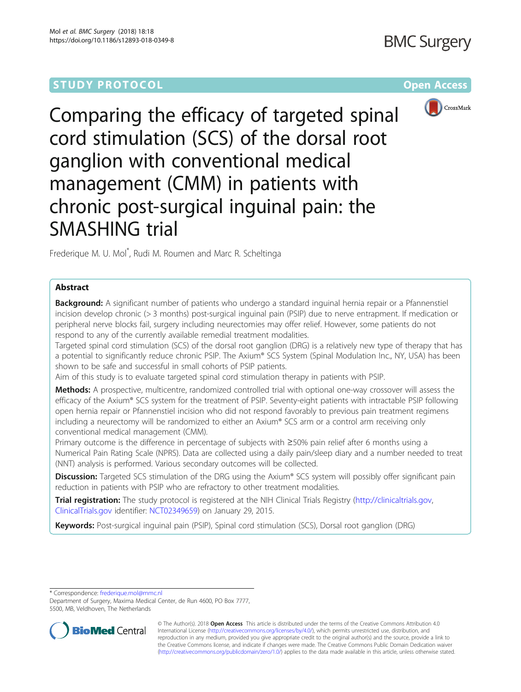

Comparing the efficacy of targeted spinal cord stimulation (SCS) of the dorsal root ganglion with conventional medical management (CMM) in patients with chronic post-surgical inguinal pain: the SMASHING trial

Frederique M. U. Mol\* , Rudi M. Roumen and Marc R. Scheltinga

# Abstract

Background: A significant number of patients who undergo a standard inguinal hernia repair or a Pfannenstiel incision develop chronic (> 3 months) post-surgical inguinal pain (PSIP) due to nerve entrapment. If medication or peripheral nerve blocks fail, surgery including neurectomies may offer relief. However, some patients do not respond to any of the currently available remedial treatment modalities.

Targeted spinal cord stimulation (SCS) of the dorsal root ganglion (DRG) is a relatively new type of therapy that has a potential to significantly reduce chronic PSIP. The Axium® SCS System (Spinal Modulation Inc., NY, USA) has been shown to be safe and successful in small cohorts of PSIP patients.

Aim of this study is to evaluate targeted spinal cord stimulation therapy in patients with PSIP.

Methods: A prospective, multicentre, randomized controlled trial with optional one-way crossover will assess the efficacy of the Axium® SCS system for the treatment of PSIP. Seventy-eight patients with intractable PSIP following open hernia repair or Pfannenstiel incision who did not respond favorably to previous pain treatment regimens including a neurectomy will be randomized to either an Axium® SCS arm or a control arm receiving only conventional medical management (CMM).

Primary outcome is the difference in percentage of subjects with ≥50% pain relief after 6 months using a Numerical Pain Rating Scale (NPRS). Data are collected using a daily pain/sleep diary and a number needed to treat (NNT) analysis is performed. Various secondary outcomes will be collected.

Discussion: Targeted SCS stimulation of the DRG using the Axium® SCS system will possibly offer significant pain reduction in patients with PSIP who are refractory to other treatment modalities.

Trial registration: The study protocol is registered at the NIH Clinical Trials Registry [\(http://clinicaltrials.gov,](http://clinicaltrials.gov) [ClinicalTrials.gov](http://clinicaltrials.gov) identifier: [NCT02349659\)](https://clinicaltrials.gov/ct2/show/NCT02349659) on January 29, 2015.

Keywords: Post-surgical inguinal pain (PSIP), Spinal cord stimulation (SCS), Dorsal root ganglion (DRG)

\* Correspondence: [frederique.mol@mmc.nl](mailto:frederique.mol@mmc.nl)

Department of Surgery, Maxima Medical Center, de Run 4600, PO Box 7777, 5500, MB, Veldhoven, The Netherlands



© The Author(s). 2018 Open Access This article is distributed under the terms of the Creative Commons Attribution 4.0 International License [\(http://creativecommons.org/licenses/by/4.0/](http://creativecommons.org/licenses/by/4.0/)), which permits unrestricted use, distribution, and reproduction in any medium, provided you give appropriate credit to the original author(s) and the source, provide a link to the Creative Commons license, and indicate if changes were made. The Creative Commons Public Domain Dedication waiver [\(http://creativecommons.org/publicdomain/zero/1.0/](http://creativecommons.org/publicdomain/zero/1.0/)) applies to the data made available in this article, unless otherwise stated.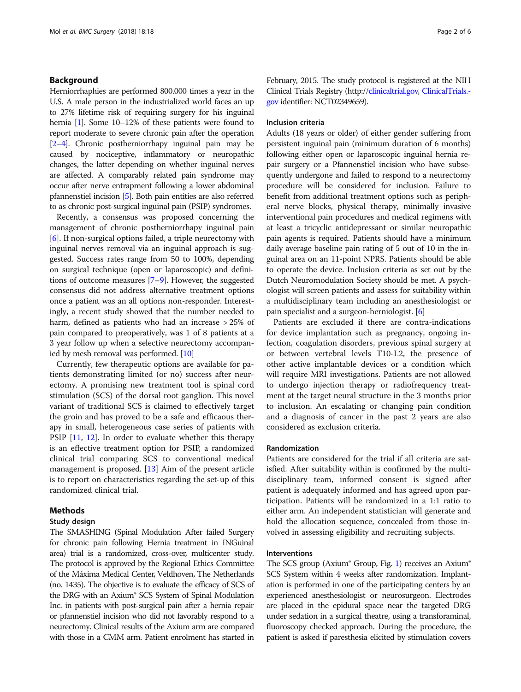### Background

Herniorrhaphies are performed 800.000 times a year in the U.S. A male person in the industrialized world faces an up to 27% lifetime risk of requiring surgery for his inguinal hernia [\[1\]](#page-5-0). Some 10–12% of these patients were found to report moderate to severe chronic pain after the operation [[2](#page-5-0)–[4\]](#page-5-0). Chronic postherniorrhapy inguinal pain may be caused by nociceptive, inflammatory or neuropathic changes, the latter depending on whether inguinal nerves are affected. A comparably related pain syndrome may occur after nerve entrapment following a lower abdominal pfannenstiel incision [\[5\]](#page-5-0). Both pain entities are also referred to as chronic post-surgical inguinal pain (PSIP) syndromes.

Recently, a consensus was proposed concerning the management of chronic postherniorrhapy inguinal pain [[6\]](#page-5-0). If non-surgical options failed, a triple neurectomy with inguinal nerves removal via an inguinal approach is suggested. Success rates range from 50 to 100%, depending on surgical technique (open or laparoscopic) and definitions of outcome measures [\[7](#page-5-0)–[9](#page-5-0)]. However, the suggested consensus did not address alternative treatment options once a patient was an all options non-responder. Interestingly, a recent study showed that the number needed to harm, defined as patients who had an increase > 25% of pain compared to preoperatively, was 1 of 8 patients at a 3 year follow up when a selective neurectomy accompanied by mesh removal was performed. [\[10\]](#page-5-0)

Currently, few therapeutic options are available for patients demonstrating limited (or no) success after neurectomy. A promising new treatment tool is spinal cord stimulation (SCS) of the dorsal root ganglion. This novel variant of traditional SCS is claimed to effectively target the groin and has proved to be a safe and efficaous therapy in small, heterogeneous case series of patients with PSIP [[11,](#page-5-0) [12](#page-5-0)]. In order to evaluate whether this therapy is an effective treatment option for PSIP, a randomized clinical trial comparing SCS to conventional medical management is proposed. [\[13\]](#page-5-0) Aim of the present article is to report on characteristics regarding the set-up of this randomized clinical trial.

## Methods

#### Study design

The SMASHING (Spinal Modulation After failed Surgery for chronic pain following Hernia treatment in INGuinal area) trial is a randomized, cross-over, multicenter study. The protocol is approved by the Regional Ethics Committee of the Máxima Medical Center, Veldhoven, The Netherlands (no. 1435). The objective is to evaluate the efficacy of SCS of the DRG with an Axium® SCS System of Spinal Modulation Inc. in patients with post-surgical pain after a hernia repair or pfannenstiel incision who did not favorably respond to a neurectomy. Clinical results of the Axium arm are compared with those in a CMM arm. Patient enrolment has started in February, 2015. The study protocol is registered at the NIH Clinical Trials Registry (http:/[/clinicaltrial.gov,](http://clinicaltrial.gov) [ClinicalTrials.](http://clinicaltrials.gov) [gov](http://clinicaltrials.gov) identifier: NCT02349659).

#### Inclusion criteria

Adults (18 years or older) of either gender suffering from persistent inguinal pain (minimum duration of 6 months) following either open or laparoscopic inguinal hernia repair surgery or a Pfannenstiel incision who have subsequently undergone and failed to respond to a neurectomy procedure will be considered for inclusion. Failure to benefit from additional treatment options such as peripheral nerve blocks, physical therapy, minimally invasive interventional pain procedures and medical regimens with at least a tricyclic antidepressant or similar neuropathic pain agents is required. Patients should have a minimum daily average baseline pain rating of 5 out of 10 in the inguinal area on an 11-point NPRS. Patients should be able to operate the device. Inclusion criteria as set out by the Dutch Neuromodulation Society should be met. A psychologist will screen patients and assess for suitability within a multidisciplinary team including an anesthesiologist or pain specialist and a surgeon-herniologist. [\[6\]](#page-5-0)

Patients are excluded if there are contra-indications for device implantation such as pregnancy, ongoing infection, coagulation disorders, previous spinal surgery at or between vertebral levels T10-L2, the presence of other active implantable devices or a condition which will require MRI investigations. Patients are not allowed to undergo injection therapy or radiofrequency treatment at the target neural structure in the 3 months prior to inclusion. An escalating or changing pain condition and a diagnosis of cancer in the past 2 years are also considered as exclusion criteria.

#### Randomization

Patients are considered for the trial if all criteria are satisfied. After suitability within is confirmed by the multidisciplinary team, informed consent is signed after patient is adequately informed and has agreed upon participation. Patients will be randomized in a 1:1 ratio to either arm. An independent statistician will generate and hold the allocation sequence, concealed from those involved in assessing eligibility and recruiting subjects.

#### Interventions

The SCS group (Axium® Group, Fig. [1\)](#page-2-0) receives an Axium® SCS System within 4 weeks after randomization. Implantation is performed in one of the participating centers by an experienced anesthesiologist or neurosurgeon. Electrodes are placed in the epidural space near the targeted DRG under sedation in a surgical theatre, using a transforaminal, fluoroscopy checked approach. During the procedure, the patient is asked if paresthesia elicited by stimulation covers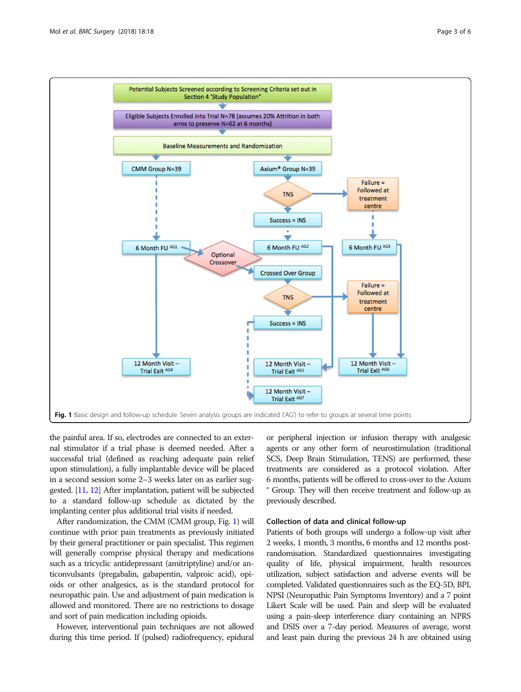<span id="page-2-0"></span>

the painful area. If so, electrodes are connected to an external stimulator if a trial phase is deemed needed. After a successful trial (defined as reaching adequate pain relief upon stimulation), a fully implantable device will be placed in a second session some 2–3 weeks later on as earlier suggested. [\[11](#page-5-0), [12](#page-5-0)] After implantation, patient will be subjected to a standard follow-up schedule as dictated by the implanting center plus additional trial visits if needed.

After randomization, the CMM (CMM group, Fig. 1) will continue with prior pain treatments as previously initiated by their general practitioner or pain specialist. This regimen will generally comprise physical therapy and medications such as a tricyclic antidepressant (amitriptyline) and/or anticonvulsants (pregabalin, gabapentin, valproic acid), opioids or other analgesics, as is the standard protocol for neuropathic pain. Use and adjustment of pain medication is allowed and monitored. There are no restrictions to dosage and sort of pain medication including opioids.

However, interventional pain techniques are not allowed during this time period. If (pulsed) radiofrequency, epidural or peripheral injection or infusion therapy with analgesic agents or any other form of neurostimulation (traditional SCS, Deep Brain Stimulation, TENS) are performed, these treatments are considered as a protocol violation. After 6 months, patients will be offered to cross-over to the Axium ® Group. They will then receive treatment and follow-up as previously described.

#### Collection of data and clinical follow-up

Patients of both groups will undergo a follow-up visit after 2 weeks, 1 month, 3 months, 6 months and 12 months postrandomisation. Standardized questionnaires investigating quality of life, physical impairment, health resources utilization, subject satisfaction and adverse events will be completed. Validated questionnaires such as the EQ-5D, BPI, NPSI (Neuropathic Pain Symptoms Inventory) and a 7 point Likert Scale will be used. Pain and sleep will be evaluated using a pain-sleep interference diary containing an NPRS and DSIS over a 7-day period. Measures of average, worst and least pain during the previous 24 h are obtained using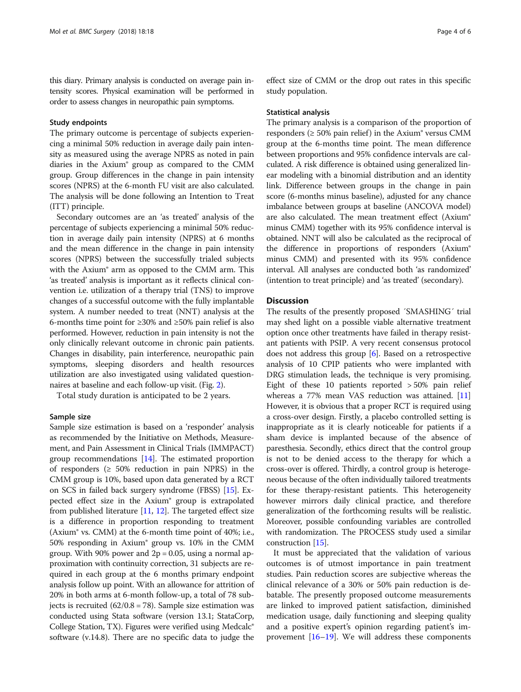this diary. Primary analysis is conducted on average pain intensity scores. Physical examination will be performed in order to assess changes in neuropathic pain symptoms.

#### Study endpoints

The primary outcome is percentage of subjects experiencing a minimal 50% reduction in average daily pain intensity as measured using the average NPRS as noted in pain diaries in the Axium® group as compared to the CMM group. Group differences in the change in pain intensity scores (NPRS) at the 6-month FU visit are also calculated. The analysis will be done following an Intention to Treat (ITT) principle.

Secondary outcomes are an 'as treated' analysis of the percentage of subjects experiencing a minimal 50% reduction in average daily pain intensity (NPRS) at 6 months and the mean difference in the change in pain intensity scores (NPRS) between the successfully trialed subjects with the Axium<sup>®</sup> arm as opposed to the CMM arm. This 'as treated' analysis is important as it reflects clinical convention i.e. utilization of a therapy trial (TNS) to improve changes of a successful outcome with the fully implantable system. A number needed to treat (NNT) analysis at the 6-months time point for  $≥30\%$  and  $≥50\%$  pain relief is also performed. However, reduction in pain intensity is not the only clinically relevant outcome in chronic pain patients. Changes in disability, pain interference, neuropathic pain symptoms, sleeping disorders and health resources utilization are also investigated using validated questionnaires at baseline and each follow-up visit. (Fig. [2](#page-4-0)).

Total study duration is anticipated to be 2 years.

#### Sample size

Sample size estimation is based on a 'responder' analysis as recommended by the Initiative on Methods, Measurement, and Pain Assessment in Clinical Trials (IMMPACT) group recommendations [[14](#page-5-0)]. The estimated proportion of responders ( $\geq 50\%$  reduction in pain NPRS) in the CMM group is 10%, based upon data generated by a RCT on SCS in failed back surgery syndrome (FBSS) [\[15](#page-5-0)]. Expected effect size in the Axium® group is extrapolated from published literature  $[11, 12]$  $[11, 12]$  $[11, 12]$  $[11, 12]$  $[11, 12]$ . The targeted effect size is a difference in proportion responding to treatment (Axium® vs. CMM) at the 6-month time point of 40%; i.e., 50% responding in Axium® group vs. 10% in the CMM group. With 90% power and  $2p = 0.05$ , using a normal approximation with continuity correction, 31 subjects are required in each group at the 6 months primary endpoint analysis follow up point. With an allowance for attrition of 20% in both arms at 6-month follow-up, a total of 78 subjects is recruited  $(62/0.8 = 78)$ . Sample size estimation was conducted using Stata software (version 13.1; StataCorp, College Station, TX). Figures were verified using Medcalc® software (v.14.8). There are no specific data to judge the

effect size of CMM or the drop out rates in this specific study population.

#### Statistical analysis

The primary analysis is a comparison of the proportion of responders ( $\geq 50\%$  pain relief) in the Axium® versus CMM group at the 6-months time point. The mean difference between proportions and 95% confidence intervals are calculated. A risk difference is obtained using generalized linear modeling with a binomial distribution and an identity link. Difference between groups in the change in pain score (6-months minus baseline), adjusted for any chance imbalance between groups at baseline (ANCOVA model) are also calculated. The mean treatment effect (Axium® minus CMM) together with its 95% confidence interval is obtained. NNT will also be calculated as the reciprocal of the difference in proportions of responders (Axium® minus CMM) and presented with its 95% confidence interval. All analyses are conducted both 'as randomized' (intention to treat principle) and 'as treated' (secondary).

#### **Discussion**

The results of the presently proposed ´SMASHING´ trial may shed light on a possible viable alternative treatment option once other treatments have failed in therapy resistant patients with PSIP. A very recent consensus protocol does not address this group [[6\]](#page-5-0). Based on a retrospective analysis of 10 CPIP patients who were implanted with DRG stimulation leads, the technique is very promising. Eight of these 10 patients reported > 50% pain relief whereas a 77% mean VAS reduction was attained. [[11](#page-5-0)] However, it is obvious that a proper RCT is required using a cross-over design. Firstly, a placebo controlled setting is inappropriate as it is clearly noticeable for patients if a sham device is implanted because of the absence of paresthesia. Secondly, ethics direct that the control group is not to be denied access to the therapy for which a cross-over is offered. Thirdly, a control group is heterogeneous because of the often individually tailored treatments for these therapy-resistant patients. This heterogeneity however mirrors daily clinical practice, and therefore generalization of the forthcoming results will be realistic. Moreover, possible confounding variables are controlled with randomization. The PROCESS study used a similar construction [\[15\]](#page-5-0).

It must be appreciated that the validation of various outcomes is of utmost importance in pain treatment studies. Pain reduction scores are subjective whereas the clinical relevance of a 30% or 50% pain reduction is debatable. The presently proposed outcome measurements are linked to improved patient satisfaction, diminished medication usage, daily functioning and sleeping quality and a positive expert's opinion regarding patient's improvement  $[16–19]$  $[16–19]$  $[16–19]$ . We will address these components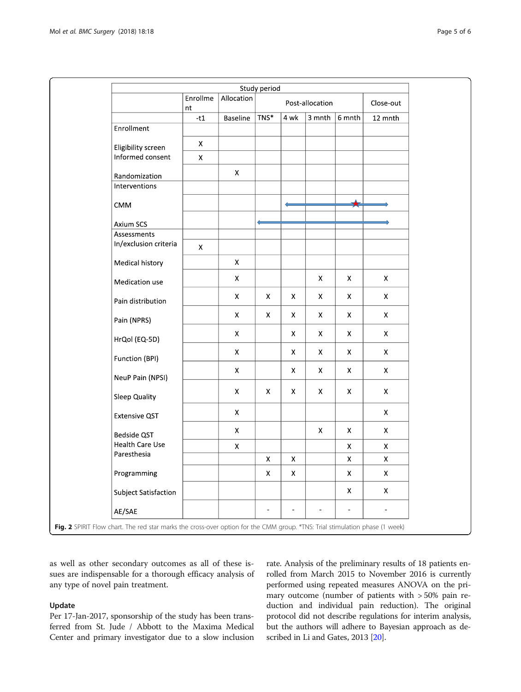<span id="page-4-0"></span>

| Study period                          |                    |                    |                 |                |              |                          |                  |
|---------------------------------------|--------------------|--------------------|-----------------|----------------|--------------|--------------------------|------------------|
|                                       | Enrollme<br>nt     | Allocation         | Post-allocation |                |              |                          | Close-out        |
|                                       | $-t1$              | Baseline           | $TNS*$          | 4 wk           | 3 mnth       | 6 mnth                   | 12 mnth          |
| Enrollment                            |                    |                    |                 |                |              |                          |                  |
| Eligibility screen                    | $\mathsf X$        |                    |                 |                |              |                          |                  |
| Informed consent                      | $\pmb{\mathsf{X}}$ |                    |                 |                |              |                          |                  |
| Randomization                         |                    | $\mathsf X$        |                 |                |              |                          |                  |
| Interventions                         |                    |                    |                 |                |              |                          |                  |
| <b>CMM</b>                            |                    |                    |                 |                |              |                          |                  |
| <b>Axium SCS</b>                      |                    |                    |                 |                |              |                          |                  |
| Assessments                           |                    |                    |                 |                |              |                          |                  |
| In/exclusion criteria                 | $\mathsf X$        |                    |                 |                |              |                          |                  |
| Medical history                       |                    | $\mathsf X$        |                 |                |              |                          |                  |
| Medication use                        |                    | X                  |                 |                | X            | X.                       | X                |
| Pain distribution                     |                    | X                  | X               | X              | X            | X.                       | X                |
| Pain (NPRS)                           |                    | X                  | X               | X.             | X            | $\mathsf{X}$             | X                |
| HrQol (EQ-5D)                         |                    | X                  |                 | X.             | $\mathsf{X}$ | X.                       | X                |
| Function (BPI)                        |                    | $\pmb{\mathsf{X}}$ |                 | X              | $\mathsf X$  | X                        | $\mathsf X$      |
| NeuP Pain (NPSI)                      |                    | $\mathsf X$        |                 | X.             | X.           | X.                       | X                |
| Sleep Quality                         |                    | X                  | X               | x              | X            | X                        | X                |
|                                       |                    | X                  |                 |                |              |                          | X                |
| <b>Extensive QST</b>                  |                    |                    |                 |                |              |                          |                  |
| <b>Bedside QST</b><br>Health Care Use |                    | X<br>$\mathsf X$   |                 |                | X            | X<br>$\mathsf X$         | X<br>$\mathsf X$ |
| Paresthesia                           |                    |                    | X               | Χ              |              | X                        | X                |
| Programming                           |                    |                    | X               | X              |              | X.                       | X                |
|                                       |                    |                    |                 |                |              | X                        | X                |
| Subject Satisfaction                  |                    |                    |                 |                |              |                          |                  |
| AE/SAE                                |                    |                    | $\overline{a}$  | $\overline{a}$ |              | $\overline{\phantom{a}}$ | $\overline{a}$   |

as well as other secondary outcomes as all of these issues are indispensable for a thorough efficacy analysis of any type of novel pain treatment.

### Update

Per 17-Jan-2017, sponsorship of the study has been transferred from St. Jude / Abbott to the Maxima Medical Center and primary investigator due to a slow inclusion rate. Analysis of the preliminary results of 18 patients enrolled from March 2015 to November 2016 is currently performed using repeated measures ANOVA on the primary outcome (number of patients with > 50% pain reduction and individual pain reduction). The original protocol did not describe regulations for interim analysis, but the authors will adhere to Bayesian approach as described in Li and Gates, 2013 [[20](#page-5-0)].